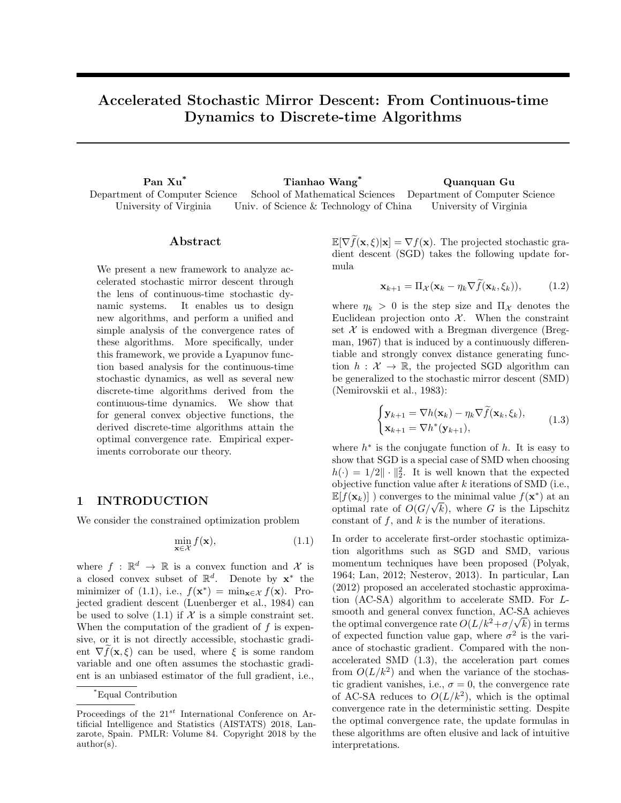# Accelerated Stochastic Mirror Descent: From Continuous-time Dynamics to Discrete-time Algorithms

Pan Xu\* Tianhao Wang\* Quanquan Gu Department of Computer Science University of Virginia School of Mathematical Sciences Univ. of Science & Technology of China Department of Computer Science University of Virginia

### Abstract

We present a new framework to analyze accelerated stochastic mirror descent through the lens of continuous-time stochastic dynamic systems. It enables us to design new algorithms, and perform a unified and simple analysis of the convergence rates of these algorithms. More specifically, under this framework, we provide a Lyapunov function based analysis for the continuous-time stochastic dynamics, as well as several new discrete-time algorithms derived from the continuous-time dynamics. We show that for general convex objective functions, the derived discrete-time algorithms attain the optimal convergence rate. Empirical experiments corroborate our theory.

# 1 INTRODUCTION

We consider the constrained optimization problem

$$
\min_{\mathbf{x} \in \mathcal{X}} f(\mathbf{x}),\tag{1.1}
$$

where  $f : \mathbb{R}^d \to \mathbb{R}$  is a convex function and X is a closed convex subset of  $\mathbb{R}^d$ . Denote by  $\mathbf{x}^*$  the minimizer of (1.1), i.e.,  $f(\mathbf{x}^*) = \min_{\mathbf{x} \in \mathcal{X}} f(\mathbf{x})$ . Projected gradient descent (Luenberger et al., 1984) can be used to solve  $(1.1)$  if  $\mathcal X$  is a simple constraint set. When the computation of the gradient of *f* is expensive, or it is not directly accessible, stochastic gradient  $\nabla f(\mathbf{x}, \xi)$  can be used, where  $\xi$  is some random variable and one often assumes the stochastic gradient is an unbiased estimator of the full gradient, i.e.,

 $\mathbb{E}[\nabla f(\mathbf{x}, \xi)|\mathbf{x}] = \nabla f(\mathbf{x})$ . The projected stochastic gradient descent (SGD) takes the following update formula

$$
\mathbf{x}_{k+1} = \Pi_{\mathcal{X}}(\mathbf{x}_k - \eta_k \nabla f(\mathbf{x}_k, \xi_k)), \quad (1.2)
$$

where  $\eta_k > 0$  is the step size and  $\Pi_{\mathcal{X}}$  denotes the Euclidean projection onto  $\mathcal{X}$ . When the constraint set  $X$  is endowed with a Bregman divergence (Bregman,  $1967$ ) that is induced by a continuously differentiable and strongly convex distance generating function  $h : \mathcal{X} \to \mathbb{R}$ , the projected SGD algorithm can be generalized to the stochastic mirror descent (SMD) (Nemirovskii et al., 1983):

$$
\begin{cases} \mathbf{y}_{k+1} = \nabla h(\mathbf{x}_k) - \eta_k \nabla \widetilde{f}(\mathbf{x}_k, \xi_k), \\ \mathbf{x}_{k+1} = \nabla h^*(\mathbf{y}_{k+1}), \end{cases}
$$
(1.3)

where  $h^*$  is the conjugate function of  $h$ . It is easy to show that SGD is a special case of SMD when choosing  $h(\cdot)=1/2\|\cdot\|_2^2$ . It is well known that the expected objective function value after *k* iterations of SMD (i.e.,  $\mathbb{E}[f(\mathbf{x}_k)]$  ) converges to the minimal value  $f(\mathbf{x}^*)$  at an optimal rate of  $O(G/\sqrt{k})$ , where *G* is the Lipschitz constant of *f*, and *k* is the number of iterations.

In order to accelerate first-order stochastic optimization algorithms such as SGD and SMD, various momentum techniques have been proposed (Polyak, 1964; Lan, 2012; Nesterov, 2013). In particular, Lan (2012) proposed an accelerated stochastic approximation (AC-SA) algorithm to accelerate SMD. For *L*smooth and general convex function, AC-SA achieves the optimal convergence rate  $O(L/k^2 + \sigma/\sqrt{k})$  in terms of expected function value gap, where  $\sigma^2$  is the variance of stochastic gradient. Compared with the nonaccelerated SMD (1.3), the acceleration part comes from  $O(L/k^2)$  and when the variance of the stochastic gradient vanishes, i.e.,  $\sigma = 0$ , the convergence rate of AC-SA reduces to  $O(L/k^2)$ , which is the optimal convergence rate in the deterministic setting. Despite the optimal convergence rate, the update formulas in these algorithms are often elusive and lack of intuitive interpretations.

<sup>\*</sup>Equal Contribution

Proceedings of the 21*st* International Conference on Artificial Intelligence and Statistics (AISTATS) 2018, Lanzarote, Spain. PMLR: Volume 84. Copyright 2018 by the author(s).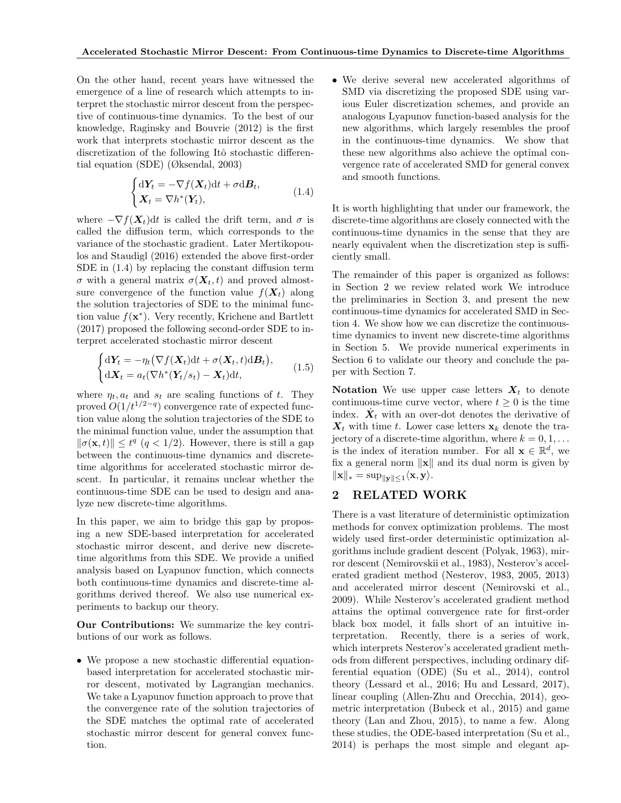On the other hand, recent years have witnessed the emergence of a line of research which attempts to interpret the stochastic mirror descent from the perspective of continuous-time dynamics. To the best of our knowledge, Raginsky and Bouvrie (2012) is the first work that interprets stochastic mirror descent as the discretization of the following Itô stochastic differential equation (SDE) (Øksendal, 2003)

$$
\begin{cases} d\mathbf{Y}_t = -\nabla f(\mathbf{X}_t)dt + \sigma d\mathbf{B}_t, \\ \mathbf{X}_t = \nabla h^*(\mathbf{Y}_t), \end{cases}
$$
 (1.4)

where  $-\nabla f(\mathbf{X}_t)dt$  is called the drift term, and  $\sigma$  is called the diffusion term, which corresponds to the variance of the stochastic gradient. Later Mertikopoulos and Staudigl (2016) extended the above first-order SDE in  $(1.4)$  by replacing the constant diffusion term  $\sigma$  with a general matrix  $\sigma(\mathbf{X}_t, t)$  and proved almostsure convergence of the function value  $f(X_t)$  along the solution trajectories of SDE to the minimal function value  $f(\mathbf{x}^*)$ . Very recently, Krichene and Bartlett (2017) proposed the following second-order SDE to interpret accelerated stochastic mirror descent

$$
\begin{cases} d\mathbf{Y}_t = -\eta_t \big(\nabla f(\mathbf{X}_t) dt + \sigma(\mathbf{X}_t, t) dB_t\big), \\ d\mathbf{X}_t = a_t \big(\nabla h^*(\mathbf{Y}_t/s_t) - \mathbf{X}_t\big) dt, \end{cases}
$$
(1.5)

where  $\eta_t, a_t$  and  $s_t$  are scaling functions of *t*. They proved  $O(1/t^{1/2-q})$  convergence rate of expected function value along the solution trajectories of the SDE to the minimal function value, under the assumption that  $\|\sigma(\mathbf{x}, t)\| \le t^q$  (*q* < 1/2). However, there is still a gap between the continuous-time dynamics and discretetime algorithms for accelerated stochastic mirror descent. In particular, it remains unclear whether the continuous-time SDE can be used to design and analyze new discrete-time algorithms.

In this paper, we aim to bridge this gap by proposing a new SDE-based interpretation for accelerated stochastic mirror descent, and derive new discretetime algorithms from this SDE. We provide a unified analysis based on Lyapunov function, which connects both continuous-time dynamics and discrete-time algorithms derived thereof. We also use numerical experiments to backup our theory.

Our Contributions: We summarize the key contributions of our work as follows.

• We propose a new stochastic differential equationbased interpretation for accelerated stochastic mirror descent, motivated by Lagrangian mechanics. We take a Lyapunov function approach to prove that the convergence rate of the solution trajectories of the SDE matches the optimal rate of accelerated stochastic mirror descent for general convex function.

• We derive several new accelerated algorithms of SMD via discretizing the proposed SDE using various Euler discretization schemes, and provide an analogous Lyapunov function-based analysis for the new algorithms, which largely resembles the proof in the continuous-time dynamics. We show that these new algorithms also achieve the optimal convergence rate of accelerated SMD for general convex and smooth functions.

It is worth highlighting that under our framework, the discrete-time algorithms are closely connected with the continuous-time dynamics in the sense that they are nearly equivalent when the discretization step is sufficiently small.

The remainder of this paper is organized as follows: in Section 2 we review related work We introduce the preliminaries in Section 3, and present the new continuous-time dynamics for accelerated SMD in Section 4. We show how we can discretize the continuoustime dynamics to invent new discrete-time algorithms in Section 5. We provide numerical experiments in Section 6 to validate our theory and conclude the paper with Section 7.

Notation We use upper case letters  $X_t$  to denote continuous-time curve vector, where  $t \geq 0$  is the time index.  $\dot{X}_t$  with an over-dot denotes the derivative of  $X_t$  with time *t*. Lower case letters  $x_k$  denote the trajectory of a discrete-time algorithm, where  $k = 0, 1, \ldots$ is the index of iteration number. For all  $\mathbf{x} \in \mathbb{R}^d$ , we fix a general norm  $\|\mathbf{x}\|$  and its dual norm is given by  $\|\mathbf{x}\|_{*} = \sup_{\|\mathbf{y}\| \leq 1} \langle \mathbf{x}, \mathbf{y} \rangle.$ 

## 2 RELATED WORK

There is a vast literature of deterministic optimization methods for convex optimization problems. The most widely used first-order deterministic optimization algorithms include gradient descent (Polyak, 1963), mirror descent (Nemirovskii et al., 1983), Nesterov's accelerated gradient method (Nesterov, 1983, 2005, 2013) and accelerated mirror descent (Nemirovski et al., 2009). While Nesterov's accelerated gradient method attains the optimal convergence rate for first-order black box model, it falls short of an intuitive interpretation. Recently, there is a series of work, which interprets Nesterov's accelerated gradient methods from different perspectives, including ordinary differential equation (ODE) (Su et al., 2014), control theory (Lessard et al., 2016; Hu and Lessard, 2017), linear coupling (Allen-Zhu and Orecchia, 2014), geometric interpretation (Bubeck et al., 2015) and game theory (Lan and Zhou, 2015), to name a few. Along these studies, the ODE-based interpretation (Su et al., 2014) is perhaps the most simple and elegant ap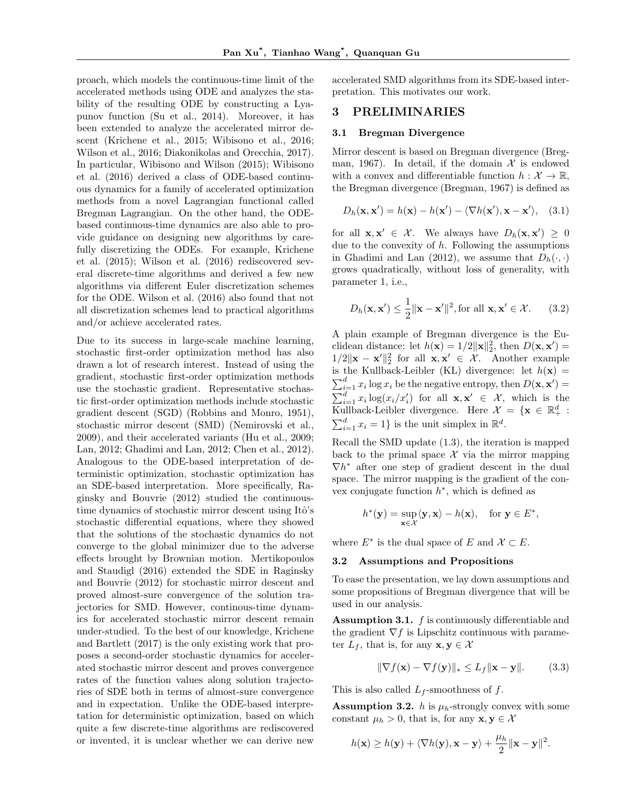proach, which models the continuous-time limit of the accelerated methods using ODE and analyzes the stability of the resulting ODE by constructing a Lyapunov function (Su et al., 2014). Moreover, it has been extended to analyze the accelerated mirror descent (Krichene et al., 2015; Wibisono et al., 2016; Wilson et al., 2016; Diakonikolas and Orecchia, 2017). In particular, Wibisono and Wilson (2015); Wibisono et al. (2016) derived a class of ODE-based continuous dynamics for a family of accelerated optimization methods from a novel Lagrangian functional called Bregman Lagrangian. On the other hand, the ODEbased continuous-time dynamics are also able to provide guidance on designing new algorithms by carefully discretizing the ODEs. For example, Krichene et al. (2015); Wilson et al. (2016) rediscovered several discrete-time algorithms and derived a few new algorithms via different Euler discretization schemes for the ODE. Wilson et al. (2016) also found that not all discretization schemes lead to practical algorithms and/or achieve accelerated rates.

Due to its success in large-scale machine learning, stochastic first-order optimization method has also drawn a lot of research interest. Instead of using the gradient, stochastic first-order optimization methods use the stochastic gradient. Representative stochastic first-order optimization methods include stochastic gradient descent (SGD) (Robbins and Monro, 1951), stochastic mirror descent (SMD) (Nemirovski et al., 2009), and their accelerated variants (Hu et al., 2009; Lan, 2012; Ghadimi and Lan, 2012; Chen et al., 2012). Analogous to the ODE-based interpretation of deterministic optimization, stochastic optimization has an SDE-based interpretation. More specifically, Raginsky and Bouvrie (2012) studied the continuoustime dynamics of stochastic mirror descent using Itô's stochastic differential equations, where they showed that the solutions of the stochastic dynamics do not converge to the global minimizer due to the adverse effects brought by Brownian motion. Mertikopoulos and Staudigl (2016) extended the SDE in Raginsky and Bouvrie (2012) for stochastic mirror descent and proved almost-sure convergence of the solution trajectories for SMD. However, continous-time dynamics for accelerated stochastic mirror descent remain under-studied. To the best of our knowledge, Krichene and Bartlett (2017) is the only existing work that proposes a second-order stochastic dynamics for accelerated stochastic mirror descent and proves convergence rates of the function values along solution trajectories of SDE both in terms of almost-sure convergence and in expectation. Unlike the ODE-based interpretation for deterministic optimization, based on which quite a few discrete-time algorithms are rediscovered or invented, it is unclear whether we can derive new

accelerated SMD algorithms from its SDE-based interpretation. This motivates our work.

## 3 PRELIMINARIES

#### 3.1 Bregman Divergence

Mirror descent is based on Bregman divergence (Bregman, 1967). In detail, if the domain  $\mathcal X$  is endowed with a convex and differentiable function  $h: \mathcal{X} \to \mathbb{R}$ , the Bregman divergence (Bregman, 1967) is defined as

$$
D_h(\mathbf{x}, \mathbf{x}') = h(\mathbf{x}) - h(\mathbf{x}') - \langle \nabla h(\mathbf{x}'), \mathbf{x} - \mathbf{x}' \rangle, \quad (3.1)
$$

for all  $\mathbf{x}, \mathbf{x}' \in \mathcal{X}$ . We always have  $D_h(\mathbf{x}, \mathbf{x}') \geq 0$ due to the convexity of *h*. Following the assumptions in Ghadimi and Lan (2012), we assume that  $D_h(\cdot, \cdot)$ grows quadratically, without loss of generality, with parameter 1, i.e.,

$$
D_h(\mathbf{x}, \mathbf{x}') \le \frac{1}{2} \|\mathbf{x} - \mathbf{x}'\|^2, \text{for all } \mathbf{x}, \mathbf{x}' \in \mathcal{X}.
$$
 (3.2)

A plain example of Bregman divergence is the Euclidean distance: let  $h(\mathbf{x}) = 1/2 ||\mathbf{x}||_2^2$ , then  $D(\mathbf{x}, \mathbf{x}') =$  $1/2\|\mathbf{x} - \mathbf{x}'\|_2^2$  for all  $\mathbf{x}, \mathbf{x}' \in \mathcal{X}$ . Another example is the Kullback-Leibler (KL) divergence: let  $h(\mathbf{x}) =$  $\sum_{i=1}^{d} x_i \log x_i$  be the negative entropy, then  $D(\mathbf{x}, \mathbf{x}') =$  $\sum_{i=1}^d x_i \log(x_i/x_i')$  for all  $\mathbf{x}, \mathbf{x'} \in \mathcal{X}$ , which is the Kullback-Leibler divergence. Here  $\mathcal{X} = {\mathbf{x} \in \mathbb{R}^d_+}$ :  $\sum_{i=1}^{d} x_i = 1$ } is the unit simplex in  $\mathbb{R}^d$ .

Recall the SMD update (1.3), the iteration is mapped back to the primal space  $\mathcal X$  via the mirror mapping  $\nabla h^*$  after one step of gradient descent in the dual space. The mirror mapping is the gradient of the convex conjugate function  $h^*$ , which is defined as

$$
h^*(\mathbf{y}) = \sup_{\mathbf{x} \in \mathcal{X}} \langle \mathbf{y}, \mathbf{x} \rangle - h(\mathbf{x}), \quad \text{for } \mathbf{y} \in E^*,
$$

where  $E^*$  is the dual space of *E* and  $\mathcal{X} \subset E$ .

#### 3.2 Assumptions and Propositions

To ease the presentation, we lay down assumptions and some propositions of Bregman divergence that will be used in our analysis.

**Assumption 3.1.** *f* is continuously differentiable and the gradient  $\nabla f$  is Lipschitz continuous with parameter  $L_f$ , that is, for any  $\mathbf{x}, \mathbf{y} \in \mathcal{X}$ 

$$
\|\nabla f(\mathbf{x}) - \nabla f(\mathbf{y})\|_{*} \le L_f \|\mathbf{x} - \mathbf{y}\|.
$$
 (3.3)

This is also called *L<sup>f</sup>* -smoothness of *f*.

**Assumption 3.2.** *h* is  $\mu_h$ -strongly convex with some constant  $\mu_h > 0$ , that is, for any  $\mathbf{x}, \mathbf{y} \in \mathcal{X}$ 

$$
h(\mathbf{x}) \ge h(\mathbf{y}) + \langle \nabla h(\mathbf{y}), \mathbf{x} - \mathbf{y} \rangle + \frac{\mu_h}{2} ||\mathbf{x} - \mathbf{y}||^2.
$$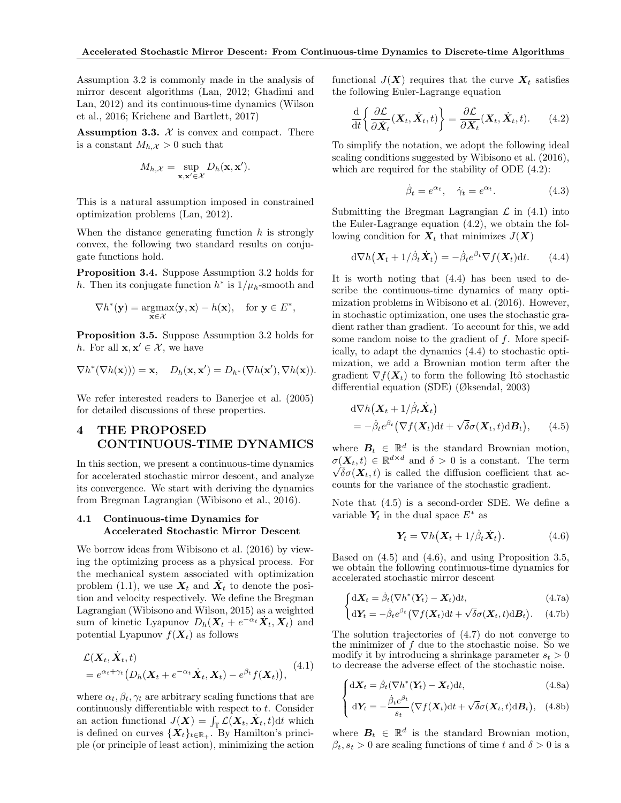Assumption 3.2 is commonly made in the analysis of mirror descent algorithms (Lan, 2012; Ghadimi and Lan, 2012) and its continuous-time dynamics (Wilson et al., 2016; Krichene and Bartlett, 2017)

**Assumption 3.3.**  $X$  is convex and compact. There is a constant  $M_{h,\mathcal{X}} > 0$  such that

$$
M_{h,\mathcal{X}} = \sup_{\mathbf{x},\mathbf{x}' \in \mathcal{X}} D_h(\mathbf{x},\mathbf{x}').
$$

This is a natural assumption imposed in constrained optimization problems (Lan, 2012).

When the distance generating function *h* is strongly convex, the following two standard results on conjugate functions hold.

Proposition 3.4. Suppose Assumption 3.2 holds for *h*. Then its conjugate function  $h^*$  is  $1/\mu_h$ -smooth and

$$
\nabla h^*(\mathbf{y}) = \underset{\mathbf{x} \in \mathcal{X}}{\operatorname{argmax}} \langle \mathbf{y}, \mathbf{x} \rangle - h(\mathbf{x}), \quad \text{for } \mathbf{y} \in E^*,
$$

Proposition 3.5. Suppose Assumption 3.2 holds for *h*. For all  $\mathbf{x}, \mathbf{x}' \in \mathcal{X}$ , we have

$$
\nabla h^*(\nabla h(\mathbf{x}))) = \mathbf{x}, \quad D_h(\mathbf{x}, \mathbf{x}') = D_{h^*}(\nabla h(\mathbf{x}'), \nabla h(\mathbf{x})).
$$

We refer interested readers to Banerjee et al. (2005) for detailed discussions of these properties.

# 4 THE PROPOSED CONTINUOUS-TIME DYNAMICS

In this section, we present a continuous-time dynamics for accelerated stochastic mirror descent, and analyze its convergence. We start with deriving the dynamics from Bregman Lagrangian (Wibisono et al., 2016).

#### 4.1 Continuous-time Dynamics for Accelerated Stochastic Mirror Descent

We borrow ideas from Wibisono et al. (2016) by viewing the optimizing process as a physical process. For the mechanical system associated with optimization problem (1.1), we use  $X_t$  and  $X_t$  to denote the position and velocity respectively. We define the Bregman Lagrangian (Wibisono and Wilson, 2015) as a weighted sum of kinetic Lyapunov  $D_h(X_t + e^{-\alpha_t}X_t, X_t)$  and potential Lyapunov  $f(\boldsymbol{X}_t)$  as follows

$$
\mathcal{L}(\mathbf{X}_t, \dot{\mathbf{X}}_t, t) = e^{\alpha_t + \gamma_t} \big( D_h(\mathbf{X}_t + e^{-\alpha_t} \dot{\mathbf{X}}_t, \mathbf{X}_t) - e^{\beta_t} f(\mathbf{X}_t) \big), \tag{4.1}
$$

where  $\alpha_t, \beta_t, \gamma_t$  are arbitrary scaling functions that are continuously differentiable with respect to  $t$ . Consider an action functional  $J(\boldsymbol{X}) = \int_{\mathbb{T}} \mathcal{L}(\boldsymbol{X}_t, \dot{\boldsymbol{X}}_t, t) dt$  which is defined on curves  $\{X_t\}_{t \in \mathbb{R}_+}$ . By Hamilton's principle (or principle of least action), minimizing the action

functional  $J(X)$  requires that the curve  $X_t$  satisfies the following Euler-Lagrange equation

$$
\frac{\mathrm{d}}{\mathrm{d}t} \left\{ \frac{\partial \mathcal{L}}{\partial \dot{\mathbf{X}}_t} (\mathbf{X}_t, \dot{\mathbf{X}}_t, t) \right\} = \frac{\partial \mathcal{L}}{\partial \mathbf{X}_t} (\mathbf{X}_t, \dot{\mathbf{X}}_t, t). \tag{4.2}
$$

To simplify the notation, we adopt the following ideal scaling conditions suggested by Wibisono et al. (2016), which are required for the stability of ODE (4.2):

$$
\dot{\beta}_t = e^{\alpha_t}, \quad \dot{\gamma}_t = e^{\alpha_t}.
$$
 (4.3)

Submitting the Bregman Lagrangian  $\mathcal L$  in (4.1) into the Euler-Lagrange equation (4.2), we obtain the following condition for  $X_t$  that minimizes  $J(X)$ 

$$
d\nabla h(\mathbf{X}_t + 1/\dot{\beta}_t \dot{\mathbf{X}}_t) = -\dot{\beta}_t e^{\beta_t} \nabla f(\mathbf{X}_t) dt.
$$
 (4.4)

It is worth noting that (4.4) has been used to describe the continuous-time dynamics of many optimization problems in Wibisono et al. (2016). However, in stochastic optimization, one uses the stochastic gradient rather than gradient. To account for this, we add some random noise to the gradient of *f*. More specifically, to adapt the dynamics (4.4) to stochastic optimization, we add a Brownian motion term after the gradient  $\nabla f(\mathbf{X}_t)$  to form the following Itô stochastic differential equation (SDE) (Øksendal, 2003)

$$
d\nabla h(\mathbf{X}_t + 1/\dot{\beta}_t \dot{\mathbf{X}}_t) = -\dot{\beta}_t e^{\beta_t} (\nabla f(\mathbf{X}_t) dt + \sqrt{\delta} \sigma(\mathbf{X}_t, t) dB_t), \qquad (4.5)
$$

where  $B_t \in \mathbb{R}^d$  is the standard Brownian motion,  $\sigma(\mathbf{X}_t, t) \in \mathbb{R}^{d \times d}$  and  $\delta > 0$  is a constant. The term  $\sqrt{\delta}\sigma(\mathbf{X}_t,t)$  is called the diffusion coefficient that accounts for the variance of the stochastic gradient.

Note that (4.5) is a second-order SDE. We define a variable  $Y_t$  in the dual space  $E^*$  as

$$
\boldsymbol{Y}_t = \nabla h(\boldsymbol{X}_t + 1/\dot{\beta}_t \dot{\boldsymbol{X}}_t). \tag{4.6}
$$

Based on (4.5) and (4.6), and using Proposition 3.5, we obtain the following continuous-time dynamics for accelerated stochastic mirror descent

$$
\int dX_t = \dot{\beta}_t (\nabla h^*(Y_t) - X_t) dt, \qquad (4.7a)
$$

$$
\left(d\mathbf{Y}_t = -\dot{\beta}_t e^{\beta t} \left(\nabla f(\mathbf{X}_t) dt + \sqrt{\delta} \sigma(\mathbf{X}_t, t) dB_t\right). \quad (4.7b)
$$

The solution trajectories of (4.7) do not converge to the minimizer of *f* due to the stochastic noise. So we modify it by introducing a shrinkage parameter  $s_t > 0$ to decrease the adverse effect of the stochastic noise.

$$
\int dX_t = \dot{\beta}_t (\nabla h^*(Y_t) - X_t) dt, \qquad (4.8a)
$$

$$
\left\{ d\mathbf{Y}_t = -\frac{\dot{\beta}_t e^{\beta_t}}{s_t} \left( \nabla f(\mathbf{X}_t) dt + \sqrt{\delta} \sigma(\mathbf{X}_t, t) dB_t \right), \quad (4.8b)
$$

where  $B_t \in \mathbb{R}^d$  is the standard Brownian motion,  $\beta_t, s_t > 0$  are scaling functions of time *t* and  $\delta > 0$  is a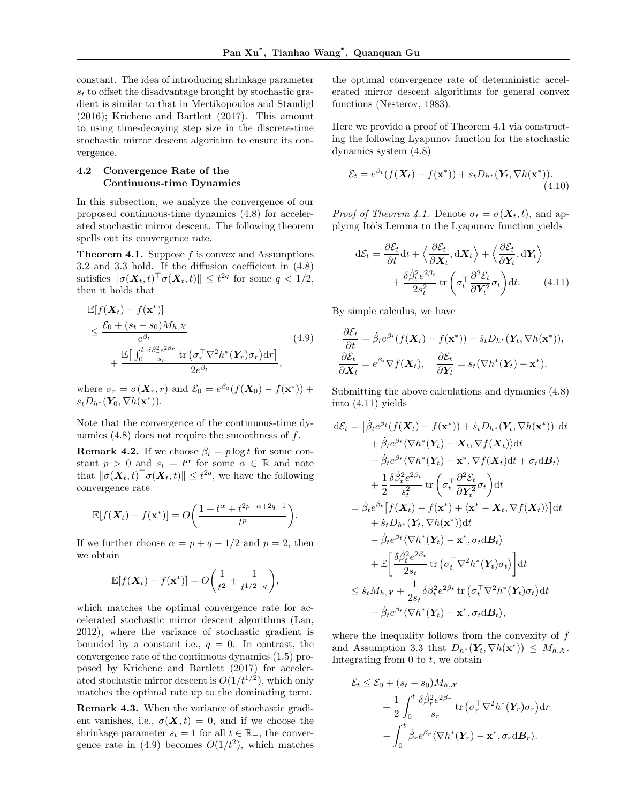constant. The idea of introducing shrinkage parameter  $s_t$  to offset the disadvantage brought by stochastic gradient is similar to that in Mertikopoulos and Staudigl (2016); Krichene and Bartlett (2017). This amount to using time-decaying step size in the discrete-time stochastic mirror descent algorithm to ensure its convergence.

#### 4.2 Convergence Rate of the Continuous-time Dynamics

In this subsection, we analyze the convergence of our proposed continuous-time dynamics (4.8) for accelerated stochastic mirror descent. The following theorem spells out its convergence rate.

Theorem 4.1. Suppose *f* is convex and Assumptions  $3.2$  and  $3.3$  hold. If the diffusion coefficient in  $(4.8)$ satisfies  $\|\sigma(\boldsymbol{X}_t, t)^\top \sigma(\boldsymbol{X}_t, t)\| \leq t^{2q}$  for some  $q < 1/2$ , then it holds that

$$
\mathbb{E}[f(\mathbf{X}_t) - f(\mathbf{x}^*)]
$$
\n
$$
\leq \frac{\mathcal{E}_0 + (s_t - s_0)M_{h,\mathcal{X}}}{e^{\beta_t}} \left(4.9\right)
$$
\n
$$
+ \frac{\mathbb{E}\big[\int_0^t \frac{\delta \beta_r^2 e^{2\beta_r}}{s_r} \text{tr}\left(\sigma_r^\top \nabla^2 h^*(\mathbf{Y}_r) \sigma_r\right) dr\big]}{2e^{\beta_t}},
$$
\n(4.9)

where  $\sigma_r = \sigma(\mathbf{X}_r, r)$  and  $\mathcal{E}_0 = e^{\beta_0} (f(\mathbf{X}_0) - f(\mathbf{x}^*))$  +  $s_t D_{h^*}(\mathbf{Y}_0, \nabla h(\mathbf{x}^*))$ .

Note that the convergence of the continuous-time dynamics (4.8) does not require the smoothness of *f*.

**Remark 4.2.** If we choose  $\beta_t = p \log t$  for some constant  $p > 0$  and  $s_t = t^{\alpha}$  for some  $\alpha \in \mathbb{R}$  and note that  $\|\sigma(\boldsymbol{X}_t, t)^\top \sigma(\boldsymbol{X}_t, t)\| \leq t^{2q}$ , we have the following convergence rate

$$
\mathbb{E}[f(\boldsymbol{X}_t) - f(\mathbf{x}^*)] = O\bigg(\frac{1 + t^{\alpha} + t^{2p - \alpha + 2q - 1}}{t^p}\bigg).
$$

If we further choose  $\alpha = p + q - 1/2$  and  $p = 2$ , then we obtain

$$
\mathbb{E}[f(\boldsymbol{X}_t) - f(\mathbf{x}^*)] = O\bigg(\frac{1}{t^2} + \frac{1}{t^{1/2-q}}\bigg),
$$

which matches the optimal convergence rate for accelerated stochastic mirror descent algorithms (Lan, 2012), where the variance of stochastic gradient is bounded by a constant i.e.,  $q = 0$ . In contrast, the convergence rate of the continuous dynamics (1.5) proposed by Krichene and Bartlett (2017) for accelerated stochastic mirror descent is  $O(1/t^{1/2})$ , which only matches the optimal rate up to the dominating term.

Remark 4.3. When the variance of stochastic gradient vanishes, i.e.,  $\sigma(\mathbf{X}, t) = 0$ , and if we choose the shrinkage parameter  $s_t = 1$  for all  $t \in \mathbb{R}_+$ , the convergence rate in  $(4.9)$  becomes  $O(1/t^2)$ , which matches

the optimal convergence rate of deterministic accelerated mirror descent algorithms for general convex functions (Nesterov, 1983).

Here we provide a proof of Theorem 4.1 via constructing the following Lyapunov function for the stochastic dynamics system (4.8)

$$
\mathcal{E}_t = e^{\beta_t} (f(\mathbf{X}_t) - f(\mathbf{x}^*)) + s_t D_{h^*}(\mathbf{Y}_t, \nabla h(\mathbf{x}^*)). \tag{4.10}
$$

*Proof of Theorem 4.1.* Denote  $\sigma_t = \sigma(\mathbf{X}_t, t)$ , and applying Itô's Lemma to the Lyapunov function yields

$$
d\mathcal{E}_t = \frac{\partial \mathcal{E}_t}{\partial t} dt + \left\langle \frac{\partial \mathcal{E}_t}{\partial \mathbf{X}_t}, d\mathbf{X}_t \right\rangle + \left\langle \frac{\partial \mathcal{E}_t}{\partial \mathbf{Y}_t}, d\mathbf{Y}_t \right\rangle + \frac{\delta \dot{\beta}_t^2 e^{2\beta_t}}{2s_t^2} tr\left(\sigma_t^\top \frac{\partial^2 \mathcal{E}_t}{\partial \mathbf{Y}_t^2} \sigma_t\right) dt. \tag{4.11}
$$

By simple calculus, we have

$$
\frac{\partial \mathcal{E}_t}{\partial t} = \dot{\beta}_t e^{\beta_t} (f(\mathbf{X}_t) - f(\mathbf{x}^*)) + \dot{s}_t D_{h^*}(\mathbf{Y}_t, \nabla h(\mathbf{x}^*)),
$$
  

$$
\frac{\partial \mathcal{E}_t}{\partial \mathbf{X}_t} = e^{\beta_t} \nabla f(\mathbf{X}_t), \quad \frac{\partial \mathcal{E}_t}{\partial \mathbf{Y}_t} = s_t (\nabla h^*(\mathbf{Y}_t) - \mathbf{x}^*).
$$

Submitting the above calculations and dynamics (4.8) into (4.11) yields

$$
d\mathcal{E}_{t} = \left[\hat{\beta}_{t}e^{\beta_{t}}(f(\mathbf{X}_{t}) - f(\mathbf{x}^{*})) + \dot{s}_{t}D_{h^{*}}(\mathbf{Y}_{t}, \nabla h(\mathbf{x}^{*}))\right]dt + \dot{\beta}_{t}e^{\beta_{t}}\langle\nabla h^{*}(\mathbf{Y}_{t}) - \mathbf{X}_{t}, \nabla f(\mathbf{X}_{t})\rangle dt - \dot{\beta}_{t}e^{\beta_{t}}\langle\nabla h^{*}(\mathbf{Y}_{t}) - \mathbf{x}^{*}, \nabla f(\mathbf{X}_{t})dt + \sigma_{t}dB_{t}\rangle + \frac{1}{2}\frac{\delta\dot{\beta}_{t}^{2}e^{2\beta_{t}}}{s_{t}^{2}}\operatorname{tr}\left(\sigma_{t}^{\top}\frac{\partial^{2}\mathcal{E}_{t}}{\partial\mathbf{Y}_{t}^{2}}\sigma_{t}\right)dt = \dot{\beta}_{t}e^{\beta_{t}}\left[f(\mathbf{X}_{t}) - f(\mathbf{x}^{*}) + \langle\mathbf{x}^{*} - \mathbf{X}_{t}, \nabla f(\mathbf{X}_{t})\rangle\right]dt + \dot{s}_{t}D_{h^{*}}(\mathbf{Y}_{t}, \nabla h(\mathbf{x}^{*}))dt - \dot{\beta}_{t}e^{\beta_{t}}\langle\nabla h^{*}(\mathbf{Y}_{t}) - \mathbf{x}^{*}, \sigma_{t}dB_{t}\rangle + \mathbb{E}\left[\frac{\delta\dot{\beta}_{t}^{2}e^{2\beta_{t}}}{2s_{t}}\operatorname{tr}\left(\sigma_{t}^{\top}\nabla^{2}h^{*}(\mathbf{Y}_{t})\sigma_{t}\right)\right]dt \leq \dot{s}_{t}M_{h,\mathcal{X}} + \frac{1}{2s_{t}}\delta\dot{\beta}_{t}^{2}e^{2\beta_{t}}\operatorname{tr}\left(\sigma_{t}^{\top}\nabla^{2}h^{*}(\mathbf{Y}_{t})\sigma_{t}\right)dt - \dot{\beta}_{t}e^{\beta_{t}}\langle\nabla h^{*}(\mathbf{Y}_{t}) - \mathbf{x}^{*}, \sigma_{t}dB_{t}\rangle,
$$

where the inequality follows from the convexity of *f* and Assumption 3.3 that  $D_{h^*}(\mathbf{Y}_t, \nabla h(\mathbf{x}^*)) \leq M_{h, \mathcal{X}}$ . Integrating from 0 to *t*, we obtain

$$
\mathcal{E}_t \leq \mathcal{E}_0 + (s_t - s_0) M_{h,\mathcal{X}} \n+ \frac{1}{2} \int_0^t \frac{\delta \dot{\beta}_r^2 e^{2\beta_r}}{s_r} \operatorname{tr} (\sigma_r^{\top} \nabla^2 h^*(\mathbf{Y}_r) \sigma_r) dr \n- \int_0^t \dot{\beta}_r e^{\beta_r} \langle \nabla h^*(\mathbf{Y}_r) - \mathbf{x}^*, \sigma_r \mathrm{d} \mathbf{B}_r \rangle.
$$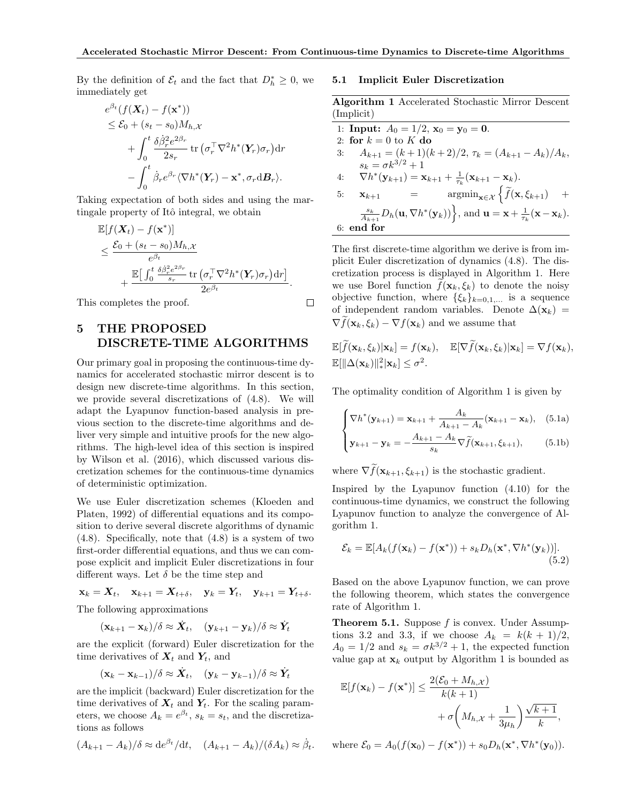By the definition of  $\mathcal{E}_t$  and the fact that  $D_h^* \geq 0$ , we immediately get

$$
e^{\beta_t}(f(\mathbf{X}_t) - f(\mathbf{x}^*))
$$
  
\n
$$
\leq \mathcal{E}_0 + (s_t - s_0)M_{h,\mathcal{X}}
$$
  
\n
$$
+ \int_0^t \frac{\delta \dot{\beta}_r^2 e^{2\beta_r}}{2s_r} \operatorname{tr} (\sigma_r^{\top} \nabla^2 h^*(\mathbf{Y}_r) \sigma_r) dr
$$
  
\n
$$
- \int_0^t \dot{\beta}_r e^{\beta_r} \langle \nabla h^*(\mathbf{Y}_r) - \mathbf{x}^*, \sigma_r \mathrm{d} \mathbf{B}_r \rangle.
$$

Taking expectation of both sides and using the martingale property of Itô integral, we obtain

$$
\mathbb{E}[f(\mathbf{X}_t) - f(\mathbf{x}^*)]
$$
\n
$$
\leq \frac{\mathcal{E}_0 + (s_t - s_0)M_{h,\mathcal{X}}}{e^{\beta_t}}\n+ \frac{\mathbb{E}\big[\int_0^t \frac{\delta \beta_r^2 e^{2\beta_r}}{s_r} \text{tr}\left(\sigma_r^\top \nabla^2 h^*(\mathbf{Y}_r)\sigma_r\right) dr\big]}{2e^{\beta_t}}.
$$

This completes the proof.

# 5 THE PROPOSED DISCRETE-TIME ALGORITHMS

Our primary goal in proposing the continuous-time dynamics for accelerated stochastic mirror descent is to design new discrete-time algorithms. In this section, we provide several discretizations of (4.8). We will adapt the Lyapunov function-based analysis in previous section to the discrete-time algorithms and deliver very simple and intuitive proofs for the new algorithms. The high-level idea of this section is inspired by Wilson et al. (2016), which discussed various discretization schemes for the continuous-time dynamics of deterministic optimization.

We use Euler discretization schemes (Kloeden and Platen, 1992) of differential equations and its composition to derive several discrete algorithms of dynamic (4.8). Specifically, note that (4.8) is a system of two first-order differential equations, and thus we can compose explicit and implicit Euler discretizations in four different ways. Let  $\delta$  be the time step and

 $x_k = X_t$ ,  $x_{k+1} = X_{t+\delta}$ ,  $y_k = Y_t$ ,  $y_{k+1} = Y_{t+\delta}$ . The following approximations

$$
(\mathbf{x}_{k+1} - \mathbf{x}_k)/\delta \approx \dot{\mathbf{X}}_t, \quad (\mathbf{y}_{k+1} - \mathbf{y}_k)/\delta \approx \dot{\mathbf{Y}}_t
$$

are the explicit (forward) Euler discretization for the time derivatives of  $X_t$  and  $Y_t$ , and

$$
(\mathbf{x}_k - \mathbf{x}_{k-1})/\delta \approx \dot{\mathbf{X}}_t, \quad (\mathbf{y}_k - \mathbf{y}_{k-1})/\delta \approx \dot{\mathbf{Y}}_t
$$

are the implicit (backward) Euler discretization for the time derivatives of  $X_t$  and  $Y_t$ . For the scaling parameters, we choose  $A_k = e^{\beta t}$ ,  $s_k = s_t$ , and the discretizations as follows

$$
(A_{k+1} - A_k)/\delta \approx \frac{de^{\beta_t}}{dt}, \quad (A_{k+1} - A_k)/(\delta A_k) \approx \dot{\beta}_t.
$$

#### 5.1 Implicit Euler Discretization

Algorithm 1 Accelerated Stochastic Mirror Descent (Implicit)

| 1: <b>Input:</b> $A_0 = 1/2$ , $\mathbf{x}_0 = \mathbf{y}_0 = \mathbf{0}$ .                                                                                   |
|---------------------------------------------------------------------------------------------------------------------------------------------------------------|
| 2: for $k=0$ to K do                                                                                                                                          |
| $A_{k+1} = (k+1)(k+2)/2, \tau_k = (A_{k+1} - A_k)/A_k,$<br>3:                                                                                                 |
| $s_k = \sigma k^{3/2} + 1$                                                                                                                                    |
| $\nabla h^*(\mathbf{y}_{k+1}) = \mathbf{x}_{k+1} + \frac{1}{\tau_k}(\mathbf{x}_{k+1} - \mathbf{x}_k).$<br>4:                                                  |
| $\operatorname{argmin}_{\mathbf{x} \in \mathcal{X}} \left\{ \widetilde{f}(\mathbf{x}, \xi_{k+1}) \right\}$<br>$+$<br>$=$ $\qquad$<br>5:<br>$\mathbf{x}_{k+1}$ |
| $\frac{s_k}{A_{k+1}}D_h(\mathbf{u}, \nabla h^*(\mathbf{y}_k))\Big\}$ , and $\mathbf{u} = \mathbf{x} + \frac{1}{\tau_k}(\mathbf{x} - \mathbf{x}_k)$ .          |
| $6:$ end for                                                                                                                                                  |
|                                                                                                                                                               |

The first discrete-time algorithm we derive is from implicit Euler discretization of dynamics (4.8). The discretization process is displayed in Algorithm 1. Here we use Borel function  $f(\mathbf{x}_k, \xi_k)$  to denote the noisy objective function, where  $\{\xi_k\}_{k=0,1,...}$  is a sequence of independent random variables. Denote  $\Delta(\mathbf{x}_k)$  =  $\nabla f(\mathbf{x}_k, \xi_k) - \nabla f(\mathbf{x}_k)$  and we assume that

$$
\mathbb{E}[f(\mathbf{x}_k,\xi_k)|\mathbf{x}_k] = f(\mathbf{x}_k), \quad \mathbb{E}[\nabla f(\mathbf{x}_k,\xi_k)|\mathbf{x}_k] = \nabla f(\mathbf{x}_k),\n\mathbb{E}[\|\Delta(\mathbf{x}_k)\|_*^2|\mathbf{x}_k] \leq \sigma^2.
$$

The optimality condition of Algorithm 1 is given by

$$
\begin{cases} \nabla h^*(\mathbf{y}_{k+1}) = \mathbf{x}_{k+1} + \frac{A_k}{A_{k+1} - A_k} (\mathbf{x}_{k+1} - \mathbf{x}_k), & (5.1a) \\ \n\mathbf{y}_{k+1} - \mathbf{y}_k = -\frac{A_{k+1} - A_k}{s_k} \nabla \tilde{f}(\mathbf{x}_{k+1}, \xi_{k+1}), & (5.1b) \end{cases}
$$

where  $\nabla f(\mathbf{x}_{k+1}, \xi_{k+1})$  is the stochastic gradient.

Inspired by the Lyapunov function (4.10) for the continuous-time dynamics, we construct the following Lyapunov function to analyze the convergence of Algorithm 1.

$$
\mathcal{E}_k = \mathbb{E}[A_k(f(\mathbf{x}_k) - f(\mathbf{x}^*)) + s_k D_h(\mathbf{x}^*, \nabla h^*(\mathbf{y}_k))].
$$
\n(5.2)

Based on the above Lyapunov function, we can prove the following theorem, which states the convergence rate of Algorithm 1.

Theorem 5.1. Suppose *f* is convex. Under Assumptions 3.2 and 3.3, if we choose  $A_k = k(k + 1)/2$ ,  $A_0 = 1/2$  and  $s_k = \sigma k^{3/2} + 1$ , the expected function value gap at  $\mathbf{x}_k$  output by Algorithm 1 is bounded as

$$
\mathbb{E}[f(\mathbf{x}_k) - f(\mathbf{x}^*)] \le \frac{2(\mathcal{E}_0 + M_{h,\mathcal{X}})}{k(k+1)} + \sigma \left(M_{h,\mathcal{X}} + \frac{1}{3\mu_h}\right) \frac{\sqrt{k+1}}{k},
$$

where  $\mathcal{E}_0 = A_0(f(\mathbf{x}_0) - f(\mathbf{x}^*)) + s_0D_h(\mathbf{x}^*, \nabla h^*(\mathbf{y}_0)).$ 

 $\Box$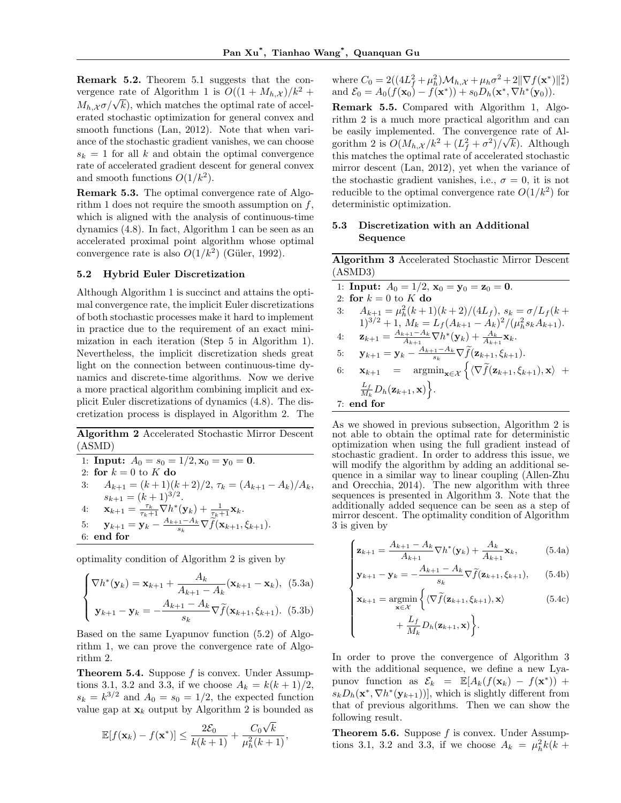Remark 5.2. Theorem 5.1 suggests that the convergence rate of Algorithm 1 is  $O((1 + M_h, \chi)/k^2 +$  $M_{h,\mathcal{X}}\sigma/\sqrt{k}$ , which matches the optimal rate of accelerated stochastic optimization for general convex and smooth functions (Lan, 2012). Note that when variance of the stochastic gradient vanishes, we can choose  $s_k = 1$  for all *k* and obtain the optimal convergence rate of accelerated gradient descent for general convex and smooth functions  $O(1/k^2)$ .

Remark 5.3. The optimal convergence rate of Algorithm 1 does not require the smooth assumption on *f*, which is aligned with the analysis of continuous-time dynamics (4.8). In fact, Algorithm 1 can be seen as an accelerated proximal point algorithm whose optimal convergence rate is also  $O(1/k^2)$  (Güler, 1992).

#### 5.2 Hybrid Euler Discretization

Although Algorithm 1 is succinct and attains the optimal convergence rate, the implicit Euler discretizations of both stochastic processes make it hard to implement in practice due to the requirement of an exact minimization in each iteration (Step 5 in Algorithm 1). Nevertheless, the implicit discretization sheds great light on the connection between continuous-time dynamics and discrete-time algorithms. Now we derive a more practical algorithm combining implicit and explicit Euler discretizations of dynamics (4.8). The discretization process is displayed in Algorithm 2. The

Algorithm 2 Accelerated Stochastic Mirror Descent (ASMD)

1: Input: 
$$
A_0 = s_0 = 1/2
$$
,  $\mathbf{x}_0 = \mathbf{y}_0 = \mathbf{0}$ .  
\n2: for  $k = 0$  to  $K$  do  
\n3:  $A_{k+1} = (k+1)(k+2)/2$ ,  $\tau_k = (A_{k+1} - A_k)/A_k$ ,  
\n $s_{k+1} = (k+1)^{3/2}$ .  
\n4:  $\mathbf{x}_{k+1} = \frac{\tau_k}{\tau_k+1} \nabla h^*(\mathbf{y}_k) + \frac{1}{\tau_k+1} \mathbf{x}_k$ .  
\n5:  $\mathbf{y}_{k+1} = \mathbf{y}_k - \frac{A_{k+1} - A_k}{s_k} \nabla \hat{f}(\mathbf{x}_{k+1}, \xi_{k+1})$ .  
\n6: end for

optimality condition of Algorithm 2 is given by

$$
\begin{cases} \nabla h^*(\mathbf{y}_k) = \mathbf{x}_{k+1} + \frac{A_k}{A_{k+1} - A_k} (\mathbf{x}_{k+1} - \mathbf{x}_k), & (5.3a) \\ \n\mathbf{y}_{k+1} - \mathbf{y}_k = -\frac{A_{k+1} - A_k}{s_k} \nabla \tilde{f}(\mathbf{x}_{k+1}, \xi_{k+1}). & (5.3b) \end{cases}
$$

Based on the same Lyapunov function (5.2) of Algorithm 1, we can prove the convergence rate of Algorithm 2.

Theorem 5.4. Suppose *f* is convex. Under Assumptions 3.1, 3.2 and 3.3, if we choose  $A_k = k(k+1)/2$ ,  $s_k = k^{3/2}$  and  $A_0 = s_0 = 1/2$ , the expected function value gap at  $\mathbf{x}_k$  output by Algorithm 2 is bounded as

$$
\mathbb{E}[f(\mathbf{x}_k) - f(\mathbf{x}^*)] \le \frac{2\mathcal{E}_0}{k(k+1)} + \frac{C_0\sqrt{k}}{\mu_h^2(k+1)},
$$

where  $C_0 = 2((4L_f^2 + \mu_h^2)M_{h,x} + \mu_h\sigma^2 + 2||\nabla f(\mathbf{x}^*)||_*^2)$ and  $\mathcal{E}_0 = A_0(f(\mathbf{x}_0) - f(\mathbf{x}^*)) + s_0D_h(\mathbf{x}^*, \nabla h^*(\mathbf{y}_0)).$ 

Remark 5.5. Compared with Algorithm 1, Algorithm 2 is a much more practical algorithm and can be easily implemented. The convergence rate of Algorithm 2 is  $O(M_h, \chi/k^2 + (L_f^2 + \sigma^2)/\sqrt{k})$ . Although this matches the optimal rate of accelerated stochastic mirror descent (Lan, 2012), yet when the variance of the stochastic gradient vanishes, i.e.,  $\sigma = 0$ , it is not reducible to the optimal convergence rate  $O(1/k^2)$  for deterministic optimization.

### 5.3 Discretization with an Additional Sequence

Algorithm 3 Accelerated Stochastic Mirror Descent (ASMD3)

| 1: <b>Input:</b> $A_0 = 1/2$ , $\mathbf{x}_0 = \mathbf{y}_0 = \mathbf{z}_0 = \mathbf{0}$ .                                                                                  |
|-----------------------------------------------------------------------------------------------------------------------------------------------------------------------------|
| 2: for $k = 0$ to K do                                                                                                                                                      |
| $A_{k+1} = \mu_h^2 (k+1)(k+2)/(4L_f), s_k = \sigma/L_f(k+1)$<br>3:                                                                                                          |
| $1)^{3/2} + 1$ , $M_k = L_f(A_{k+1} - A_k)^2/(\mu_h^2 s_k A_{k+1}).$                                                                                                        |
| $\mathbf{z}_{k+1} = \frac{A_{k+1} - A_k}{A_{k+1}} \nabla h^*(\mathbf{y}_k) + \frac{A_k}{A_{k+1}} \mathbf{x}_k.$<br>4:                                                       |
| $\mathbf{y}_{k+1} = \mathbf{y}_k - \frac{A_{k+1} - A_k}{s_k} \nabla \widetilde{f}(\mathbf{z}_{k+1}, \xi_{k+1}).$<br>5:                                                      |
| $\mathbf{x}_{k+1} = \operatorname{argmin}_{\mathbf{x} \in \mathcal{X}} \left\{ \langle \nabla \widetilde{f}(\mathbf{z}_{k+1}, \xi_{k+1}), \mathbf{x} \rangle \right.$<br>6: |
| $\frac{L_f}{M_k}D_h(\mathbf{z}_{k+1},\mathbf{x})\Big\}.$                                                                                                                    |
| $7:$ end for                                                                                                                                                                |

As we showed in previous subsection, Algorithm 2 is not able to obtain the optimal rate for deterministic optimization when using the full gradient instead of stochastic gradient. In order to address this issue, we will modify the algorithm by adding an additional sequence in a similar way to linear coupling (Allen-Zhu and Orecchia, 2014). The new algorithm with three sequences is presented in Algorithm 3. Note that the additionally added sequence can be seen as a step of mirror descent. The optimality condition of Algorithm 3 is given by

$$
\begin{cases} \mathbf{z}_{k+1} = \frac{A_{k+1} - A_k}{A_{k+1}} \nabla h^*(\mathbf{y}_k) + \frac{A_k}{A_{k+1}} \mathbf{x}_k, & (5.4a) \\ \mathbf{y}_{k+1} - \mathbf{y}_k = -\frac{A_{k+1} - A_k}{s_k} \nabla \tilde{f}(\mathbf{z}_{k+1}, \xi_{k+1}), & (5.4b) \end{cases}
$$

$$
\mathbf{y}_{k+1} - \mathbf{y}_k = -\frac{A_{k+1} - A_k}{s_k} \nabla \tilde{f}(\mathbf{z}_{k+1}, \xi_{k+1}), \qquad (5.4b)
$$

$$
\begin{cases}\n\mathbf{x}_{k+1} = \underset{\mathbf{x} \in \mathcal{X}}{\operatorname{argmin}} \left\{ \langle \nabla \tilde{f}(\mathbf{z}_{k+1}, \xi_{k+1}), \mathbf{x} \rangle \right. \\
\left. + \frac{L_f}{M_k} D_h(\mathbf{z}_{k+1}, \mathbf{x}) \right\}.\n\end{cases} \tag{5.4c}
$$

In order to prove the convergence of Algorithm 3 with the additional sequence, we define a new Lyapunov function as  $\mathcal{E}_k = \mathbb{E}[A_k(f(\mathbf{x}_k) - f(\mathbf{x}^*)) +$  $s_k D_h(\mathbf{x}^*, \nabla h^*(\mathbf{y}_{k+1}))$ , which is slightly different from that of previous algorithms. Then we can show the following result.

Theorem 5.6. Suppose *f* is convex. Under Assumptions 3.1, 3.2 and 3.3, if we choose  $A_k = \mu_h^2 k(k + 1)$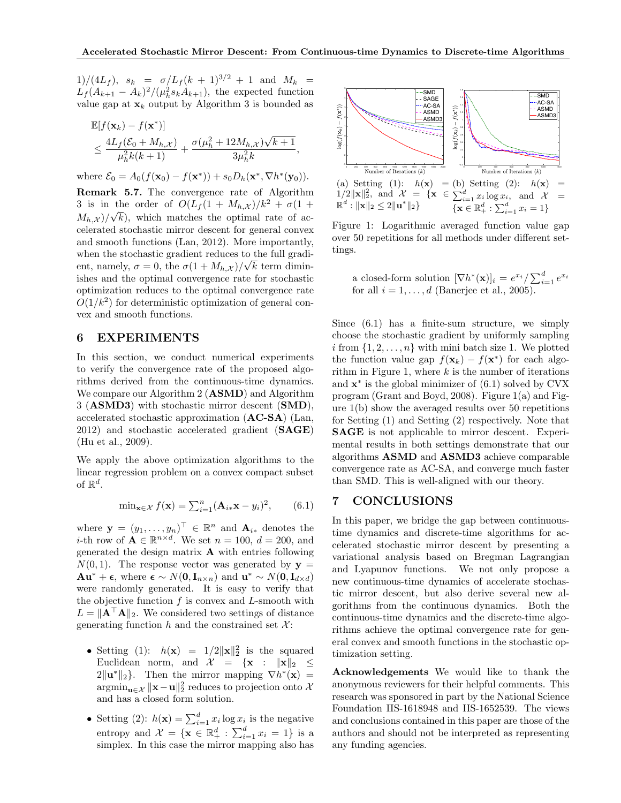$1)/(4L_f)$ ,  $s_k = \sigma/L_f(k+1)^{3/2} + 1$  and  $M_k =$  $L_f(A_{k+1} - A_k)^2/(\mu_h^2 s_k A_{k+1}),$  the expected function value gap at  $\mathbf{x}_k$  output by Algorithm 3 is bounded as

$$
\mathbb{E}[f(\mathbf{x}_k) - f(\mathbf{x}^*)] \n\leq \frac{4L_f(\mathcal{E}_0 + M_{h,\mathcal{X}})}{\mu_h^2 k(k+1)} + \frac{\sigma(\mu_h^2 + 12M_{h,\mathcal{X}})\sqrt{k+1}}{3\mu_h^2 k},
$$

where  $\mathcal{E}_0 = A_0(f(\mathbf{x}_0) - f(\mathbf{x}^*)) + s_0D_h(\mathbf{x}^*, \nabla h^*(\mathbf{y}_0)).$ 

Remark 5.7. The convergence rate of Algorithm 3 is in the order of  $O(L_f(1 + M_{h,\mathcal{X}})/k^2 + \sigma(1 +$  $M_{h,\mathcal{X}}$  / $\sqrt{k}$ , which matches the optimal rate of accelerated stochastic mirror descent for general convex and smooth functions (Lan, 2012). More importantly, when the stochastic gradient reduces to the full gradient, namely,  $\sigma = 0$ , the  $\sigma(1 + M_{h,\mathcal{X}})/\sqrt{k}$  term diminishes and the optimal convergence rate for stochastic optimization reduces to the optimal convergence rate  $O(1/k^2)$  for deterministic optimization of general convex and smooth functions.

### 6 EXPERIMENTS

In this section, we conduct numerical experiments to verify the convergence rate of the proposed algorithms derived from the continuous-time dynamics. We compare our Algorithm 2 (**ASMD**) and Algorithm 3 (ASMD3) with stochastic mirror descent (SMD), accelerated stochastic approximation (AC-SA) (Lan, 2012) and stochastic accelerated gradient (SAGE) (Hu et al., 2009).

We apply the above optimization algorithms to the linear regression problem on a convex compact subset of  $\mathbb{R}^d$ .

$$
\min_{\mathbf{x} \in \mathcal{X}} f(\mathbf{x}) = \sum_{i=1}^{n} (\mathbf{A}_{i \ast} \mathbf{x} - y_i)^2, \qquad (6.1)
$$

where  $\mathbf{y} = (y_1, \ldots, y_n)^\top \in \mathbb{R}^n$  and  $\mathbf{A}_{i*}$  denotes the *i*-th row of  $\mathbf{A} \in \mathbb{R}^{n \times d}$ . We set  $n = 100$ ,  $d = 200$ , and generated the design matrix A with entries following  $N(0, 1)$ . The response vector was generated by  $y =$  $Au^* + \epsilon$ , where  $\epsilon \sim N(0, I_{n \times n})$  and  $u^* \sim N(0, I_{d \times d})$ were randomly generated. It is easy to verify that the objective function *f* is convex and *L*-smooth with  $L = \|\mathbf{A}^\top \mathbf{A}\|_2$ . We considered two settings of distance generating function  $h$  and the constrained set  $\mathcal{X}$ :

- Setting (1):  $h(\mathbf{x}) = 1/2 \|\mathbf{x}\|_2^2$  is the squared Euclidean norm, and  $\mathcal{X} = {\mathbf{x} : \| \mathbf{x} \|_2 \leq 1}$  $2\|\mathbf{u}^*\|_2$ . Then the mirror mapping  $\nabla h^*(\mathbf{x}) =$  $\operatorname{argmin}_{\mathbf{u}\in\mathcal{X}} \|\mathbf{x}-\mathbf{u}\|_2^2$  reduces to projection onto  $\mathcal{X}$ and has a closed form solution.
- Setting (2):  $h(\mathbf{x}) = \sum_{i=1}^{d} x_i \log x_i$  is the negative entropy and  $\mathcal{X} = \{ \mathbf{x} \in \mathbb{R}_+^d : \sum_{i=1}^d x_i = 1 \}$  is a simplex. In this case the mirror mapping also has



Figure 1: Logarithmic averaged function value gap over 50 repetitions for all methods under different settings.

a closed-form solution  $[\nabla h^*(\mathbf{x})]_i = e^{x_i} / \sum_{i=1}^d e^{x_i}$ for all  $i = 1, \ldots, d$  (Banerjee et al., 2005).

Since (6.1) has a finite-sum structure, we simply choose the stochastic gradient by uniformly sampling *i* from  $\{1, 2, \ldots, n\}$  with mini batch size 1. We plotted the function value gap  $f(\mathbf{x}_k) - f(\mathbf{x}^*)$  for each algorithm in Figure 1, where *k* is the number of iterations and  $\mathbf{x}^*$  is the global minimizer of  $(6.1)$  solved by CVX program (Grant and Boyd, 2008). Figure 1(a) and Figure 1(b) show the averaged results over 50 repetitions for Setting (1) and Setting (2) respectively. Note that SAGE is not applicable to mirror descent. Experimental results in both settings demonstrate that our algorithms ASMD and ASMD3 achieve comparable convergence rate as AC-SA, and converge much faster than SMD. This is well-aligned with our theory.

# 7 CONCLUSIONS

In this paper, we bridge the gap between continuoustime dynamics and discrete-time algorithms for accelerated stochastic mirror descent by presenting a variational analysis based on Bregman Lagrangian and Lyapunov functions. We not only propose a new continuous-time dynamics of accelerate stochastic mirror descent, but also derive several new algorithms from the continuous dynamics. Both the continuous-time dynamics and the discrete-time algorithms achieve the optimal convergence rate for general convex and smooth functions in the stochastic optimization setting.

Acknowledgements We would like to thank the anonymous reviewers for their helpful comments. This research was sponsored in part by the National Science Foundation IIS-1618948 and IIS-1652539. The views and conclusions contained in this paper are those of the authors and should not be interpreted as representing any funding agencies.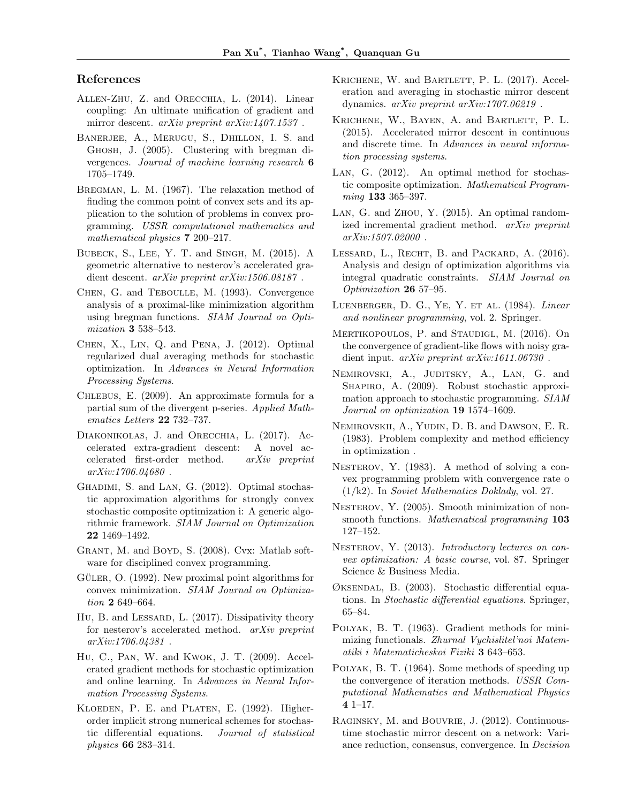# References

- Allen-Zhu, Z. and Orecchia, L. (2014). Linear coupling: An ultimate unification of gradient and mirror descent. *arXiv preprint arXiv:1407.1537* .
- Banerjee, A., Merugu, S., Dhillon, I. S. and Ghosh, J. (2005). Clustering with bregman divergences. *Journal of machine learning research* 6 1705–1749.
- Bregman, L. M. (1967). The relaxation method of finding the common point of convex sets and its application to the solution of problems in convex programming. *USSR computational mathematics and mathematical physics* 7 200–217.
- Bubeck, S., Lee, Y. T. and Singh, M. (2015). A geometric alternative to nesterov's accelerated gradient descent. *arXiv preprint arXiv:1506.08187* .
- Chen, G. and Teboulle, M. (1993). Convergence analysis of a proximal-like minimization algorithm using bregman functions. *SIAM Journal on Optimization* 3 538–543.
- Chen, X., Lin, Q. and Pena, J. (2012). Optimal regularized dual averaging methods for stochastic optimization. In *Advances in Neural Information Processing Systems*.
- Chlebus, E. (2009). An approximate formula for a partial sum of the divergent p-series. *Applied Mathematics Letters* 22 732–737.
- Diakonikolas, J. and Orecchia, L. (2017). Accelerated extra-gradient descent: A novel accelerated first-order method. *arXiv preprint arXiv:1706.04680* .
- GHADIMI, S. and LAN, G. (2012). Optimal stochastic approximation algorithms for strongly convex stochastic composite optimization i: A generic algorithmic framework. *SIAM Journal on Optimization* 22 1469–1492.
- GRANT, M. and BOYD, S. (2008). Cvx: Matlab software for disciplined convex programming.
- GÜLER,  $O. (1992)$ . New proximal point algorithms for convex minimization. *SIAM Journal on Optimization* 2 649–664.
- Hu, B. and Lessard, L. (2017). Dissipativity theory for nesterov's accelerated method. *arXiv preprint arXiv:1706.04381* .
- Hu, C., Pan, W. and Kwok, J. T. (2009). Accelerated gradient methods for stochastic optimization and online learning. In *Advances in Neural Information Processing Systems*.
- KLOEDEN, P. E. and PLATEN, E. (1992). Higherorder implicit strong numerical schemes for stochastic differential equations. *Journal of statistical physics* 66 283–314.
- KRICHENE, W. and BARTLETT, P. L. (2017). Acceleration and averaging in stochastic mirror descent dynamics. *arXiv preprint arXiv:1707.06219* .
- KRICHENE, W., BAYEN, A. and BARTLETT, P. L. (2015). Accelerated mirror descent in continuous and discrete time. In *Advances in neural information processing systems*.
- Lan, G. (2012). An optimal method for stochastic composite optimization. *Mathematical Programming* 133 365–397.
- Lan, G. and Zhou, Y. (2015). An optimal randomized incremental gradient method. *arXiv preprint arXiv:1507.02000* .
- LESSARD, L., RECHT, B. and PACKARD, A. (2016). Analysis and design of optimization algorithms via integral quadratic constraints. *SIAM Journal on Optimization* 26 57–95.
- Luenberger, D. G., Ye, Y. et al. (1984). *Linear and nonlinear programming*, vol. 2. Springer.
- MERTIKOPOULOS, P. and STAUDIGL, M. (2016). On the convergence of gradient-like flows with noisy gradient input. *arXiv preprint arXiv:1611.06730* .
- Nemirovski, A., Juditsky, A., Lan, G. and SHAPIRO, A. (2009). Robust stochastic approximation approach to stochastic programming. *SIAM Journal on optimization* 19 1574–1609.
- Nemirovskii, A., Yudin, D. B. and Dawson, E. R. (1983). Problem complexity and method efficiency in optimization .
- NESTEROV, Y. (1983). A method of solving a convex programming problem with convergence rate o (1/k2). In *Soviet Mathematics Doklady*, vol. 27.
- NESTEROV, Y. (2005). Smooth minimization of nonsmooth functions. *Mathematical programming* 103 127–152.
- NESTEROV, Y. (2013). *Introductory lectures on convex optimization: A basic course*, vol. 87. Springer Science & Business Media.
- $\varnothing$ KSENDAL, B. (2003). Stochastic differential equations. In *Stochastic differential equations*. Springer, 65–84.
- Polyak, B. T. (1963). Gradient methods for minimizing functionals. *Zhurnal Vychislitel'noi Matematiki i Matematicheskoi Fiziki* 3 643–653.
- Polyak, B. T. (1964). Some methods of speeding up the convergence of iteration methods. *USSR Computational Mathematics and Mathematical Physics* 4 1–17.
- Raginsky, M. and Bouvrie, J. (2012). Continuoustime stochastic mirror descent on a network: Variance reduction, consensus, convergence. In *Decision*